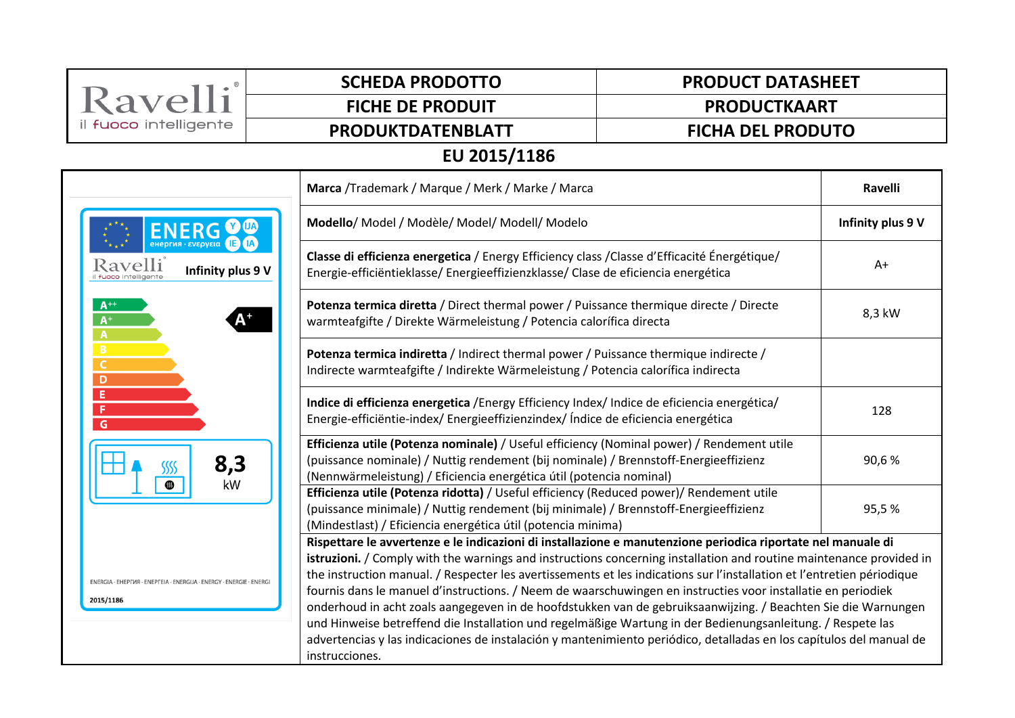| Ravelli                                                                          | <b>SCHEDA PRODOTTO</b>                                                                                                                                                                                                                                                                                                                                                                                                                                                                                                                                                                                                                                                                                                                                                                                                                                | <b>PRODUCT DATASHEET</b> |                   |  |  |
|----------------------------------------------------------------------------------|-------------------------------------------------------------------------------------------------------------------------------------------------------------------------------------------------------------------------------------------------------------------------------------------------------------------------------------------------------------------------------------------------------------------------------------------------------------------------------------------------------------------------------------------------------------------------------------------------------------------------------------------------------------------------------------------------------------------------------------------------------------------------------------------------------------------------------------------------------|--------------------------|-------------------|--|--|
|                                                                                  | <b>FICHE DE PRODUIT</b>                                                                                                                                                                                                                                                                                                                                                                                                                                                                                                                                                                                                                                                                                                                                                                                                                               | <b>PRODUCTKAART</b>      |                   |  |  |
| il fuoco intelligente                                                            | PRODUKTDATENBLATT                                                                                                                                                                                                                                                                                                                                                                                                                                                                                                                                                                                                                                                                                                                                                                                                                                     | <b>FICHA DEL PRODUTO</b> |                   |  |  |
| EU 2015/1186                                                                     |                                                                                                                                                                                                                                                                                                                                                                                                                                                                                                                                                                                                                                                                                                                                                                                                                                                       |                          |                   |  |  |
|                                                                                  | Marca /Trademark / Marque / Merk / Marke / Marca                                                                                                                                                                                                                                                                                                                                                                                                                                                                                                                                                                                                                                                                                                                                                                                                      |                          | <b>Ravelli</b>    |  |  |
| Ravelli<br>Infinity plus 9 V                                                     | Modello/ Model / Modèle/ Model/ Modell/ Modelo                                                                                                                                                                                                                                                                                                                                                                                                                                                                                                                                                                                                                                                                                                                                                                                                        |                          | Infinity plus 9 V |  |  |
|                                                                                  | Classe di efficienza energetica / Energy Efficiency class / Classe d'Efficacité Énergétique/<br>Energie-efficiëntieklasse/Energieeffizienzklasse/Clase de eficiencia energética                                                                                                                                                                                                                                                                                                                                                                                                                                                                                                                                                                                                                                                                       |                          | $A+$              |  |  |
| $A^{++}$<br>$A^+$<br>$\overline{A}$                                              | Potenza termica diretta / Direct thermal power / Puissance thermique directe / Directe<br>warmteafgifte / Direkte Wärmeleistung / Potencia calorífica directa                                                                                                                                                                                                                                                                                                                                                                                                                                                                                                                                                                                                                                                                                         |                          | 8,3 kW            |  |  |
| B<br>C<br>D                                                                      | Potenza termica indiretta / Indirect thermal power / Puissance thermique indirecte /<br>Indirecte warmteafgifte / Indirekte Wärmeleistung / Potencia calorífica indirecta                                                                                                                                                                                                                                                                                                                                                                                                                                                                                                                                                                                                                                                                             |                          |                   |  |  |
| E<br>F<br>G                                                                      | Indice di efficienza energetica / Energy Efficiency Index/ Indice de eficiencia energética/<br>Energie-efficiëntie-index/Energieeffizienzindex/ Índice de eficiencia energética                                                                                                                                                                                                                                                                                                                                                                                                                                                                                                                                                                                                                                                                       |                          | 128               |  |  |
| 8,3<br>SSSS<br>kW                                                                | Efficienza utile (Potenza nominale) / Useful efficiency (Nominal power) / Rendement utile<br>(puissance nominale) / Nuttig rendement (bij nominale) / Brennstoff-Energieeffizienz<br>(Nennwärmeleistung) / Eficiencia energética útil (potencia nominal)                                                                                                                                                                                                                                                                                                                                                                                                                                                                                                                                                                                              |                          | 90,6%             |  |  |
|                                                                                  | Efficienza utile (Potenza ridotta) / Useful efficiency (Reduced power)/ Rendement utile<br>(puissance minimale) / Nuttig rendement (bij minimale) / Brennstoff-Energieeffizienz<br>(Mindestlast) / Eficiencia energética útil (potencia minima)                                                                                                                                                                                                                                                                                                                                                                                                                                                                                                                                                                                                       |                          | 95,5%             |  |  |
| ENERGIA · EHEPFIAA · ENEPFEIA · ENERGIJA · ENERGY · ENERGIE · ENERG<br>2015/1186 | Rispettare le avvertenze e le indicazioni di installazione e manutenzione periodica riportate nel manuale di<br>istruzioni. / Comply with the warnings and instructions concerning installation and routine maintenance provided in<br>the instruction manual. / Respecter les avertissements et les indications sur l'installation et l'entretien périodique<br>fournis dans le manuel d'instructions. / Neem de waarschuwingen en instructies voor installatie en periodiek<br>onderhoud in acht zoals aangegeven in de hoofdstukken van de gebruiksaanwijzing. / Beachten Sie die Warnungen<br>und Hinweise betreffend die Installation und regelmäßige Wartung in der Bedienungsanleitung. / Respete las<br>advertencias y las indicaciones de instalación y mantenimiento periódico, detalladas en los capítulos del manual de<br>instrucciones. |                          |                   |  |  |